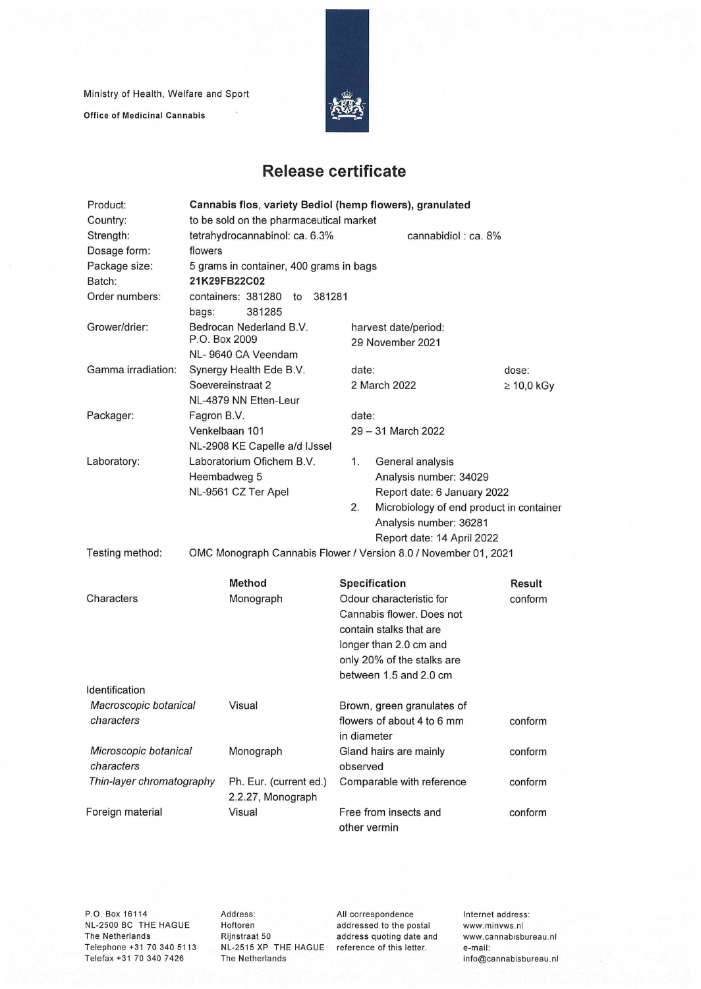Ministry of Health, Welfare and Sport

**Office of Medicinal Cannabis** 



## **Release certificate**

| Product:                  | Cannabis flos, variety Bediol (hemp flowers), granulated |                                             |        |                                                                 |                 |  |
|---------------------------|----------------------------------------------------------|---------------------------------------------|--------|-----------------------------------------------------------------|-----------------|--|
| Country:                  | to be sold on the pharmaceutical market                  |                                             |        |                                                                 |                 |  |
| Strength:                 | tetrahydrocannabinol: ca. 6.3%<br>cannabidiol: ca. 8%    |                                             |        |                                                                 |                 |  |
| Dosage form:              | flowers                                                  |                                             |        |                                                                 |                 |  |
| Package size:             | 5 grams in container, 400 grams in bags                  |                                             |        |                                                                 |                 |  |
| Batch:                    | 21K29FB22C02                                             |                                             |        |                                                                 |                 |  |
| Order numbers:            |                                                          | containers: 381280<br>to                    | 381281 |                                                                 |                 |  |
|                           | bags:                                                    | 381285                                      |        |                                                                 |                 |  |
| Grower/drier:             | P.O. Box 2009                                            | Bedrocan Nederland B.V.                     |        | harvest date/period:<br>29 November 2021                        |                 |  |
|                           |                                                          | NL-9640 CA Veendam                          |        |                                                                 |                 |  |
| Gamma irradiation:        |                                                          | Synergy Health Ede B.V.                     |        | date:                                                           | dose:           |  |
|                           | Soevereinstraat 2                                        |                                             |        | 2 March 2022                                                    | $\geq 10,0$ kGy |  |
|                           |                                                          | NL-4879 NN Etten-Leur                       |        |                                                                 |                 |  |
| Packager:                 | Fagron B.V.                                              |                                             |        | date:                                                           |                 |  |
|                           |                                                          | Venkelbaan 101                              |        | 29 - 31 March 2022                                              |                 |  |
|                           |                                                          | NL-2908 KE Capelle a/d IJssel               |        |                                                                 |                 |  |
| Laboratory:               |                                                          | Laboratorium Ofichem B.V.                   |        | 1.<br>General analysis                                          |                 |  |
|                           |                                                          | Heembadweg 5                                |        | Analysis number: 34029                                          |                 |  |
|                           |                                                          | NL-9561 CZ Ter Apel                         |        | Report date: 6 January 2022                                     |                 |  |
|                           |                                                          |                                             |        | 2.<br>Microbiology of end product in container                  |                 |  |
|                           |                                                          |                                             |        | Analysis number: 36281                                          |                 |  |
|                           |                                                          |                                             |        | Report date: 14 April 2022                                      |                 |  |
| Testing method:           |                                                          |                                             |        | OMC Monograph Cannabis Flower / Version 8.0 / November 01, 2021 |                 |  |
|                           |                                                          | <b>Method</b>                               |        | Specification                                                   | Result          |  |
| Characters                |                                                          | Monograph                                   |        | Odour characteristic for                                        | conform         |  |
|                           |                                                          |                                             |        | Cannabis flower. Does not                                       |                 |  |
|                           |                                                          |                                             |        | contain stalks that are                                         |                 |  |
|                           |                                                          |                                             |        | longer than 2.0 cm and                                          |                 |  |
|                           |                                                          |                                             |        | only 20% of the stalks are                                      |                 |  |
|                           |                                                          |                                             |        | between 1.5 and 2.0 cm                                          |                 |  |
| Identification            |                                                          |                                             |        |                                                                 |                 |  |
| Macroscopic botanical     |                                                          | Visual                                      |        | Brown, green granulates of                                      |                 |  |
| characters                |                                                          |                                             |        | flowers of about 4 to 6 mm                                      | conform         |  |
|                           |                                                          |                                             |        | in diameter                                                     |                 |  |
| Microscopic botanical     |                                                          | Monograph                                   |        | Gland hairs are mainly                                          | conform         |  |
| characters                |                                                          |                                             |        | observed                                                        |                 |  |
| Thin-layer chromatography |                                                          | Ph. Eur. (current ed.)<br>2.2.27, Monograph |        | Comparable with reference                                       | conform         |  |
| Foreign material          |                                                          | Visual                                      |        | Free from insects and                                           | conform         |  |
|                           |                                                          |                                             |        | other vermin                                                    |                 |  |

P.O. Box 16114 NL-2500 BC THE HAGUE The Netherlands Telephone +31 70 340 5113 Telefax +31 70 340 7426

Address: Hoftoren Rijnstraat 50 NL-2515 XP THE HAGUE reference of this letter. The Netherlands

All correspondence addressed to the postai address quoting date and Internet address: www.minvws.nl www.cannabisbureau.n1 e-mail: info@cannabisbureau.nl